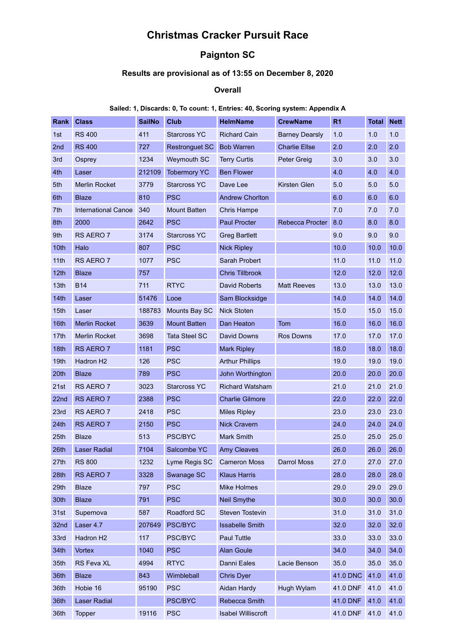# **Christmas Cracker Pursuit Race**

## **Paignton SC**

#### **Results are provisional as of 13:55 on December 8, 2020**

#### **Overall**

#### **Sailed: 1, Discards: 0, To count: 1, Entries: 40, Scoring system: Appendix A**

| <b>Rank</b>      | <b>Class</b>               | <b>SailNo</b> | Club                 | <b>HelmName</b>           | <b>CrewName</b>       | R <sub>1</sub>  | <b>Total</b> | <b>Nett</b> |
|------------------|----------------------------|---------------|----------------------|---------------------------|-----------------------|-----------------|--------------|-------------|
| 1st              | <b>RS 400</b>              | 411           | <b>Starcross YC</b>  | <b>Richard Cain</b>       | <b>Barney Dearsly</b> | 1.0             | 1.0          | 1.0         |
| 2 <sub>nd</sub>  | <b>RS 400</b>              | 727           | Restronguet SC       | <b>Bob Warren</b>         | <b>Charlie Ellse</b>  | 2.0             | 2.0          | 2.0         |
| 3rd              | Osprey                     | 1234          | Weymouth SC          | <b>Terry Curtis</b>       | Peter Greig           | 3.0             | 3.0          | 3.0         |
| 4th              | Laser                      | 212109        | <b>Tobermory YC</b>  | <b>Ben Flower</b>         |                       | 4.0             | 4.0          | 4.0         |
| 5th              | <b>Merlin Rocket</b>       | 3779          | <b>Starcross YC</b>  | Dave Lee                  | Kirsten Glen          | 5.0             | 5.0          | 5.0         |
| 6th              | Blaze                      | 810           | <b>PSC</b>           | <b>Andrew Chorlton</b>    |                       | 6.0             | 6.0          | 6.0         |
| 7th              | <b>International Canoe</b> | 340           | <b>Mount Batten</b>  | <b>Chris Hampe</b>        |                       | 7.0             | 7.0          | 7.0         |
| 8th              | 2000                       | 2642          | <b>PSC</b>           | <b>Paul Procter</b>       | Rebecca Procter       | 8.0             | 8.0          | 8.0         |
| 9th              | RS AERO 7                  | 3174          | <b>Starcross YC</b>  | <b>Greg Bartlett</b>      |                       | 9.0             | 9.0          | 9.0         |
| 10th             | Halo                       | 807           | <b>PSC</b>           | <b>Nick Ripley</b>        |                       | 10.0            | 10.0         | 10.0        |
| 11th             | RS AERO 7                  | 1077          | <b>PSC</b>           | Sarah Probert             |                       | 11.0            | 11.0         | 11.0        |
| 12th             | <b>Blaze</b>               | 757           |                      | <b>Chris Tillbrook</b>    |                       | 12.0            | 12.0         | 12.0        |
| 13th             | <b>B14</b>                 | 711           | RTYC                 | <b>David Roberts</b>      | <b>Matt Reeves</b>    | 13.0            | 13.0         | 13.0        |
| 14th             | Laser                      | 51476         | Looe                 | Sam Blocksidge            |                       | 14.0            | 14.0         | 14.0        |
| 15th             | Laser                      | 188783        | Mounts Bay SC        | <b>Nick Stoten</b>        |                       | 15.0            | 15.0         | 15.0        |
| 16th             | <b>Merlin Rocket</b>       | 3639          | <b>Mount Batten</b>  | Dan Heaton                | Tom                   | 16.0            | 16.0         | 16.0        |
| 17th             | <b>Merlin Rocket</b>       | 3698          | <b>Tata Steel SC</b> | David Downs               | <b>Ros Downs</b>      | 17.0            | 17.0         | 17.0        |
| 18th             | RS AERO 7                  | 1181          | <b>PSC</b>           | <b>Mark Ripley</b>        |                       | 18.0            | 18.0         | 18.0        |
| 19th             | Hadron H <sub>2</sub>      | 126           | <b>PSC</b>           | <b>Arthur Phillips</b>    |                       | 19.0            | 19.0         | 19.0        |
| 20th             | <b>Blaze</b>               | 789           | <b>PSC</b>           | John Worthington          |                       | 20.0            | 20.0         | 20.0        |
| 21st             | RS AERO 7                  | 3023          | <b>Starcross YC</b>  | <b>Richard Watsham</b>    |                       | 21.0            | 21.0         | 21.0        |
| 22 <sub>nd</sub> | RS AERO 7                  | 2388          | <b>PSC</b>           | <b>Charlie Gilmore</b>    |                       | 22.0            | 22.0         | 22.0        |
| 23rd             | RS AERO 7                  | 2418          | <b>PSC</b>           | <b>Miles Ripley</b>       |                       | 23.0            | 23.0         | 23.0        |
| 24th             | RS AERO 7                  | 2150          | <b>PSC</b>           | <b>Nick Cravern</b>       |                       | 24.0            | 24.0         | 24.0        |
| 25th             | <b>Blaze</b>               | 513           | <b>PSC/BYC</b>       | Mark Smith                |                       | 25.0            | 25.0         | 25.0        |
| 26th             | <b>Laser Radial</b>        | 7104          | Salcombe YC          | <b>Amy Cleaves</b>        |                       | 26.0            | 26.0         | 26.0        |
| 27th             | <b>RS 800</b>              | 1232          | Lyme Regis SC        | <b>Cameron Moss</b>       | Darrol Moss           | 27.0            | 27.0         | 27.0        |
| 28th             | RS AERO 7                  | 3328          | Swanage SC           | <b>Klaus Harris</b>       |                       | 28.0            | 28.0         | 28.0        |
| 29th             | <b>Blaze</b>               | 797           | <b>PSC</b>           | Mike Holmes               |                       | 29.0            | 29.0         | 29.0        |
| 30th             | <b>Blaze</b>               | 791           | <b>PSC</b>           | <b>Neil Smythe</b>        |                       | 30.0            | 30.0         | 30.0        |
| 31st             | Supernova                  | 587           | Roadford SC          | Steven Tostevin           |                       | 31.0            | 31.0         | 31.0        |
| 32nd             | Laser 4.7                  | 207649        | PSC/BYC              | <b>Issabelle Smith</b>    |                       | 32.0            | 32.0         | 32.0        |
| 33rd             | Hadron H2                  | 117           | PSC/BYC              | Paul Tuttle               |                       | 33.0            | 33.0         | 33.0        |
| 34th             | <b>Vortex</b>              | 1040          | <b>PSC</b>           | <b>Alan Goule</b>         |                       | 34.0            | 34.0         | 34.0        |
| 35th             | RS Feva XL                 | 4994          | <b>RTYC</b>          | Danni Eales               | Lacie Benson          | 35.0            | 35.0         | 35.0        |
| 36th             | <b>Blaze</b>               | 843           | Wimbleball           | <b>Chris Dyer</b>         |                       | 41.0 DNC        | 41.0         | 41.0        |
| 36th             | Hobie 16                   | 95190         | <b>PSC</b>           | Aidan Hardy               | Hugh Wylam            | 41.0 DNF        | 41.0         | 41.0        |
| 36th             | Laser Radial               |               | PSC/BYC              | Rebecca Smith             |                       | <b>41.0 DNF</b> | 41.0         | 41.0        |
| 36th             | <b>Topper</b>              | 19116         | <b>PSC</b>           | <b>Isabel Williscroft</b> |                       | 41.0 DNF        | 41.0         | 41.0        |